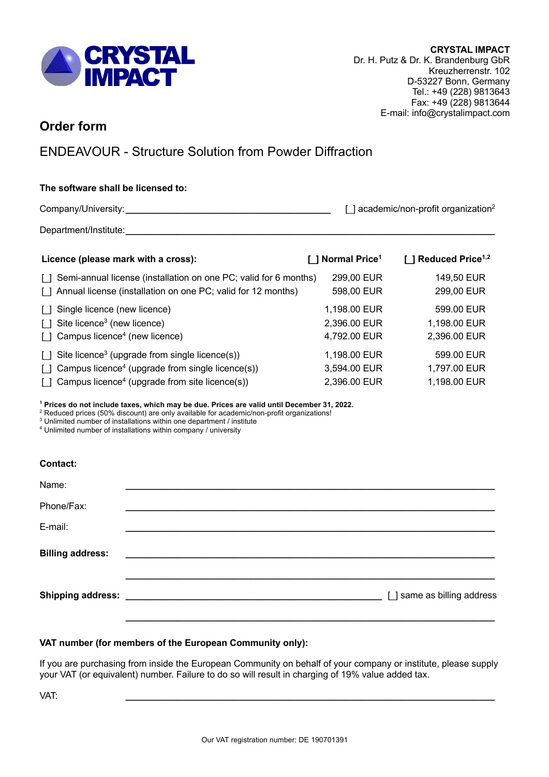

## **Order form**

# ENDEAVOUR - Structure Solution from Powder Diffraction

### **The software shall be licensed to:**

Company/University:**\_\_\_\_\_\_\_\_\_\_\_\_\_\_\_\_\_\_\_\_\_\_\_\_\_\_\_\_\_\_\_\_\_\_\_\_\_\_\_\_** [\_] academic/non-profit organization2

Department/Institute:

| Licence (please mark with a cross):                                        | [ ] Normal Price <sup>1</sup> | [] Reduced Price <sup>1,2</sup> |
|----------------------------------------------------------------------------|-------------------------------|---------------------------------|
| Semi-annual license (installation on one PC; valid for 6 months)<br>$\Box$ | 299,00 EUR                    | 149,50 EUR                      |
| Annual license (installation on one PC; valid for 12 months)               | 598,00 EUR                    | 299,00 EUR                      |
| Single licence (new licence)                                               | 1,198.00 EUR                  | 599.00 EUR                      |
| Site licence <sup>3</sup> (new licence)<br>$\lceil$ $\rceil$               | 2,396.00 EUR                  | 1,198.00 EUR                    |
| Campus licence <sup>4</sup> (new licence)<br>$\Box$                        | 4,792.00 EUR                  | 2,396.00 EUR                    |
| Site licence <sup>3</sup> (upgrade from single licence(s))<br>$\Box$       | 1,198.00 EUR                  | 599.00 EUR                      |
| Campus licence <sup>4</sup> (upgrade from single licence(s))<br>$\Box$     | 3,594.00 EUR                  | 1,797.00 EUR                    |
| Campus licence <sup>4</sup> (upgrade from site licence(s))<br>Ιl           | 2,396.00 EUR                  | 1,198.00 EUR                    |

**<sup>1</sup> Prices do not include taxes, which may be due. Prices are valid until December 31, 2022.**

<sup>2</sup> Reduced prices (50% discount) are only available for academic/non-profit organizations!

<sup>3</sup> Unlimited number of installations within one department / institute

<sup>4</sup> Unlimited number of installations within company / university

#### **Contact:**

| Name:                   |                                                                 |
|-------------------------|-----------------------------------------------------------------|
| Phone/Fax:              |                                                                 |
| E-mail:                 |                                                                 |
| <b>Billing address:</b> | <u> 1989 - Jan Barbara, margaret eta biztanleria (h. 1989).</u> |
|                         | [ ] same as billing address                                     |
|                         |                                                                 |

#### **VAT number (for members of the European Community only):**

If you are purchasing from inside the European Community on behalf of your company or institute, please supply your VAT (or equivalent) number. Failure to do so will result in charging of 19% value added tax.

VAT: **\_\_\_\_\_\_\_\_\_\_\_\_\_\_\_\_\_\_\_\_\_\_\_\_\_\_\_\_\_\_\_\_\_\_\_\_\_\_\_\_\_\_\_\_\_\_\_\_\_\_\_\_\_\_\_\_\_\_\_\_\_\_\_\_\_\_\_\_\_\_\_\_**